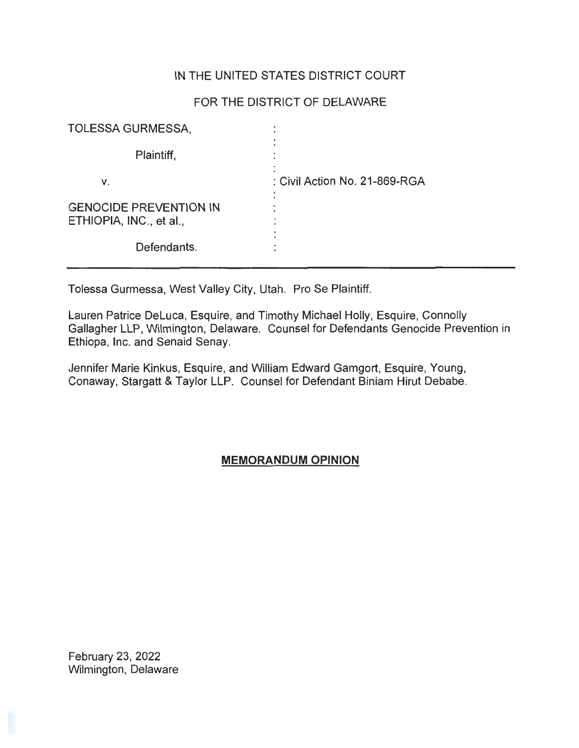## IN THE UNITED STATES DISTRICT COURT

# FOR THE DISTRICT OF DELAWARE

| <b>TOLESSA GURMESSA,</b>                                 |                               |
|----------------------------------------------------------|-------------------------------|
| Plaintiff,                                               |                               |
| ۷.                                                       | : Civil Action No. 21-869-RGA |
| <b>GENOCIDE PREVENTION IN</b><br>ETHIOPIA, INC., et al., |                               |
| Defendants.                                              |                               |

Tolessa Gurmessa, West Valley City, Utah. Pro Se Plaintiff.

Lauren Patrice Deluca, Esquire, and Timothy Michael Holly, Esquire, Connolly Gallagher LLP, Wilmington, Delaware. Counsel for Defendants Genocide Prevention in Ethiopa, Inc. and Senaid Senay.

Jennifer Marie Kinkus, Esquire, and William Edward Gamgort, Esquire, Young, Conaway, Stargatt & Taylor LLP. Counsel for Defendant Biniam Hirut Debabe.

## **MEMORANDUM OPINION**

February 23, 2022 Wilmington, Delaware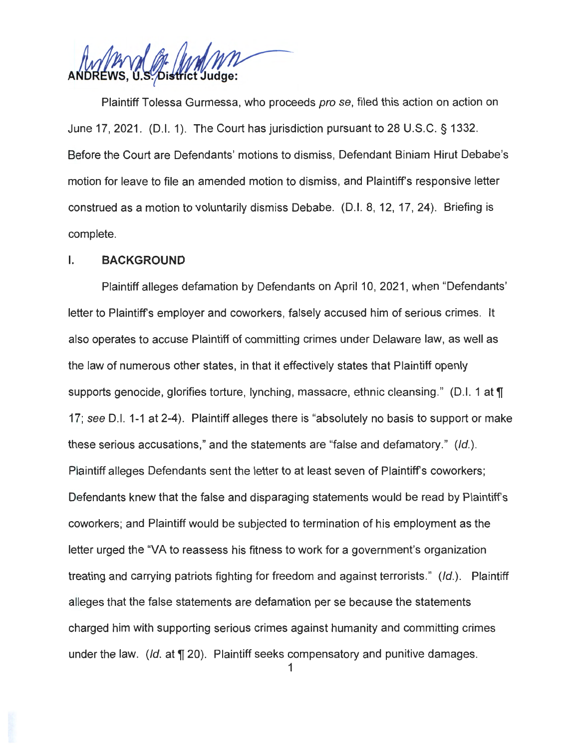District Judge:

Plaintiff Tolessa Gurmessa, who proceeds pro se, filed this action on action on June 17, 2021. (D.I. 1). The Court has jurisdiction pursuant to 28 U.S.C. § 1332. Before the Court are Defendants' motions to dismiss, Defendant Biniam Hirut Debabe's motion for leave to file an amended motion to dismiss, and Plaintiff's responsive letter construed as a motion to voluntarily dismiss Debabe. (D.I. 8, 12, 17, 24). Briefing is complete.

### I. **BACKGROUND**

Plaintiff alleges defamation by Defendants on April 10, 2021 , when "Defendants' letter to Plaintiff's employer and coworkers, falsely accused him of serious crimes. It also operates to accuse Plaintiff of committing crimes under Delaware law, as well as the law of numerous other states, in that it effectively states that Plaintiff openly supports genocide, glorifies torture, lynching, massacre, ethnic cleansing." (D.I. 1 at **T** 17; see D.I. 1-1 at 2-4). Plaintiff alleges there is "absolutely no basis to support or make these serious accusations," and the statements are "false and defamatory." (Id.). Plaintiff alleges Defendants sent the letter to at least seven of Plaintiff's coworkers; Defendants knew that the false and disparaging statements would be read by Plaintiff's coworkers; and Plaintiff would be subjected to termination of his employment as the letter urged the "VA to reassess his fitness to work for a government's organization treating and carrying patriots fighting for freedom and against terrorists." (Id.). Plaintiff alleges that the false statements are defamation per se because the statements charged him with supporting serious crimes against humanity and committing crimes under the law. (Id. at **T** 20). Plaintiff seeks compensatory and punitive damages.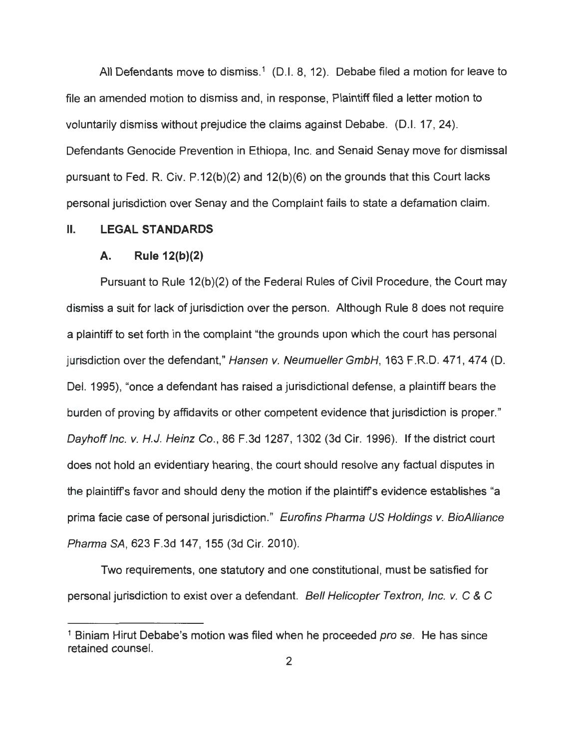All Defendants move to dismiss.<sup>1</sup> (D.I. 8, 12). Debabe filed a motion for leave to file an amended motion to dismiss and, in response, Plaintiff filed a letter motion to voluntarily dismiss without prejudice the claims against Debabe. (D.I. 17, 24). Defendants Genocide Prevention in Ethiopa, Inc. and Senaid Senay move for dismissal pursuant to Fed. R. Civ. P.12(b)(2) and 12(b)(6) on the grounds that this Court lacks personal jurisdiction over Senay and the Complaint fails to state a defamation claim.

#### II. **LEGAL STANDARDS**

#### **A. Rule 12(b)(2)**

Pursuant to Rule 12(b)(2) of the Federal Rules of Civil Procedure, the Court may dismiss a suit for lack of jurisdiction over the person. Although Rule 8 does not require a plaintiff to set forth in the complaint "the grounds upon which the court has personal jurisdiction over the defendant," Hansen v. Neumueller GmbH, 163 F.R.D. 471, 474 (D. Del. 1995), "once a defendant has raised a jurisdictional defense, a plaintiff bears the burden of proving by affidavits or other competent evidence that jurisdiction is proper." Dayhoff Inc. v. H.J. Heinz Co., 86 F.3d 1287, 1302 (3d Cir. 1996). If the district court does not hold an evidentiary hearing, the court should resolve any factual disputes in the plaintiffs favor and should deny the motion if the plaintiffs evidence establishes "a prima facie case of personal jurisdiction." Eurofins Pharma US Holdings v. BioAlliance Pharma SA, 623 F.3d 147, 155 (3d Cir. 2010).

Two requirements, one statutory and one constitutional, must be satisfied for personal jurisdiction to exist over a defendant. Bell Helicopter Textron, Inc. v. C & C

<sup>&</sup>lt;sup>1</sup> Biniam Hirut Debabe's motion was filed when he proceeded *prose*. He has since retained counsel.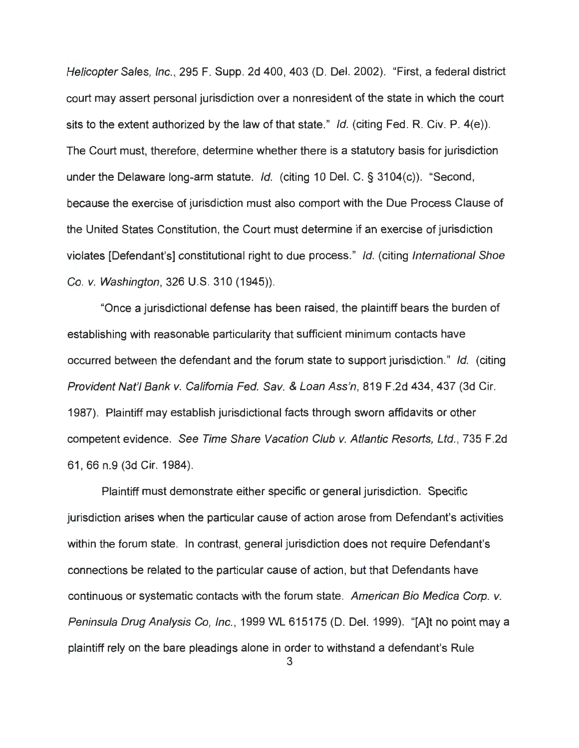Helicopter Sales, Inc., 295 F. Supp. 2d 400, 403 (D. Del. 2002). "First, a federal district court may assert personal jurisdiction over a nonresident of the state in which the court sits to the extent authorized by the law of that state." Id. (citing Fed. R. Civ. P.  $4(e)$ ). The Court must, therefore, determine whether there is a statutory basis for jurisdiction under the Delaware long-arm statute. Id. (citing 10 Del. C. § 3104(c)). "Second, because the exercise of jurisdiction must also comport with the Due Process Clause of the United States Constitution, the Court must determine if an exercise of jurisdiction violates [Defendant's] constitutional right to due process." Id. (citing International Shoe Co. v. Washington, 326 U.S. 310 (1945)).

"Once a jurisdictional defense has been raised , the plaintiff bears the burden of establishing with reasonable particularity that sufficient minimum contacts have occurred between the defendant and the forum state to support jurisdiction." Id. (citing Provident Nat'l Bank v. California Fed. Sav. & Loan Ass'n, 819 F.2d 434, 437 (3d Cir. 1987). Plaintiff may establish jurisdictional facts through sworn affidavits or other competent evidence. See Time Share Vacation Club v. Atlantic Resorts, Ltd., 735 F.2d 61 , 66 n.9 (3d Cir. 1984).

Plaintiff must demonstrate either specific or general jurisdiction. Specific jurisdiction arises when the particular cause of action arose from Defendant's activities within the forum state. In contrast, general jurisdiction does not require Defendant's connections be related to the particular cause of action, but that Defendants have continuous or systematic contacts with the forum state. American Bio Medica Corp. v. Peninsula Drug Analysis Co, Inc., 1999 WL 615175 (D. Del. 1999). "[A]t no point may a plaintiff rely on the bare pleadings alone in order to withstand a defendant's Rule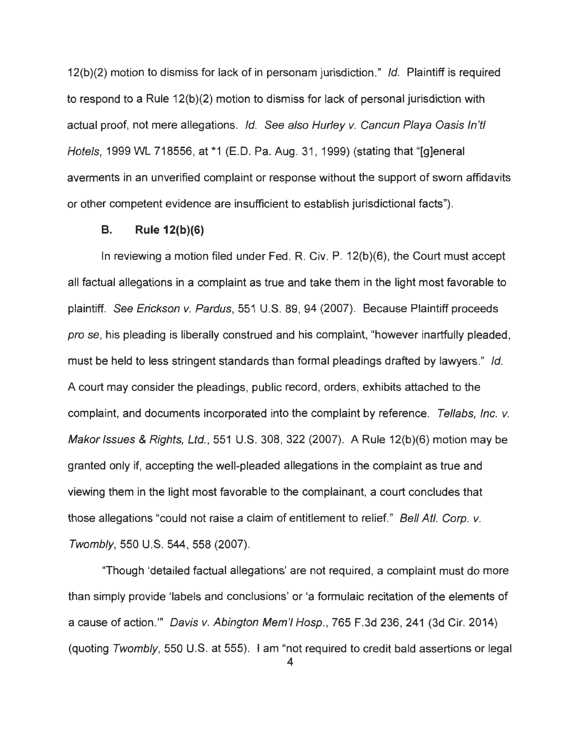12(b)(2) motion to dismiss for lack of in personam jurisdiction." Id. Plaintiff is required to respond to a Rule 12(b)(2) motion to dismiss for lack of personal jurisdiction with actual proof, not mere allegations. Id. See also Hurley v. Cancun Playa Oasis ln'tl Hotels, 1999 WL 718556, at \*1 (E.D. Pa. Aug. 31, 1999) (stating that "[g]eneral averments in an unverified complaint or response without the support of sworn affidavits or other competent evidence are insufficient to establish jurisdictional facts").

### **B. Rule 12(b)(6)**

In reviewing a motion filed under Fed. R. Civ. P. 12(b)(6), the Court must accept all factual allegations in a complaint as true and take them in the light most favorable to plaintiff. See Erickson v. Pardus, 551 U.S. 89, 94 (2007). Because Plaintiff proceeds pro se, his pleading is liberally construed and his complaint, "however inartfully pleaded, must be held to less stringent standards than formal pleadings drafted by lawyers." Id. A court may consider the pleadings, public record, orders, exhibits attached to the complaint, and documents incorporated into the complaint by reference. Tellabs, Inc. v. Makar Issues & Rights, Ltd. , 551 U.S. 308, 322 (2007). A Rule 12(b)(6) motion may be granted only if, accepting the well-pleaded allegations in the complaint as true and viewing them in the light most favorable to the complainant, a court concludes that those allegations "could not raise a claim of entitlement to relief." Bell Atl. Corp. v. Twombly, 550 U.S. **544,** 558 (2007).

"Though 'detailed factual allegations' are not required, a complaint must do more than simply provide 'labels and conclusions' or 'a formulaic recitation of the elements of a cause of action."' Davis v. Abington Mem'I Hosp., 765 F.3d 236, 241 (3d Cir. 2014) (quoting Twombly, 550 U.S. at 555). I am "not required to credit bald assertions or legal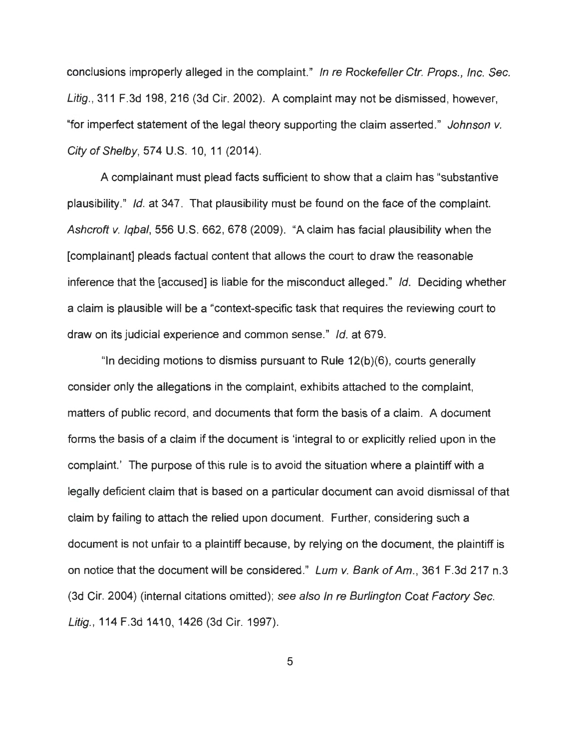conclusions improperly alleged in the complaint." In re Rockefeller Ctr. Props., Inc. Sec. Litig., 311 F.3d 198, 216 (3d Cir. 2002). A complaint may not be dismissed, however, "for imperfect statement of the legal theory supporting the claim asserted." Johnson v. City of Shelby, 574 U.S. 10, 11 (2014).

A complainant must plead facts sufficient to show that a claim has "substantive plausibility." Id. at 347. That plausibility must be found on the face of the complaint. Ashcroft v. Iqbal, 556 U.S. 662, 678 (2009). "A claim has facial plausibility when the [complainant] pleads factual content that allows the court to draw the reasonable inference that the [accused] is liable for the misconduct alleged." Id. Deciding whether a claim is plausible will be a "context-specific task that requires the reviewing court to draw on its judicial experience and common sense." Id. at 679.

"In deciding motions to dismiss pursuant to Rule 12(b)(6), courts generally consider only the allegations in the complaint, exhibits attached to the complaint, matters of public record, and documents that form the basis of a claim. A document forms the basis of a claim if the document is 'integral to or explicitly relied upon in the complaint.' The purpose of this rule is to avoid the situation where a plaintiff with a legally deficient claim that is based on a particular document can avoid dismissal of that claim by failing to attach the relied upon document. Further, considering such a document is not unfair to a plaintiff because, by relying on the document, the plaintiff is on notice that the document will be considered." Lum v. Bank of Am., 361 F.3d 217 n.3 (3d Cir. 2004) (internal citations omitted); see also In re Burlington Coat Factory Sec. Litig., 114 F.3d 1410, 1426 (3d Cir. 1997).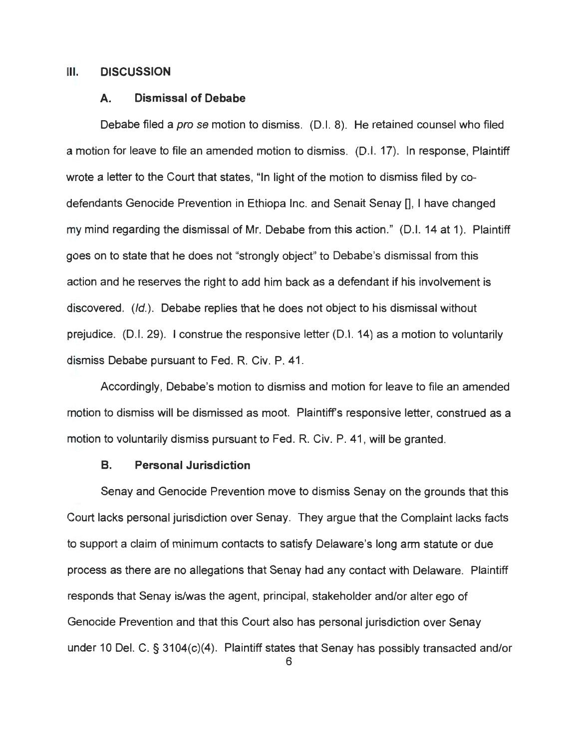#### Ill. **DISCUSSION**

#### **A. Dismissal of Debabe**

Debabe filed a *pro se* motion to dismiss. (D.I. 8). He retained counsel who filed a motion for leave to file an amended motion to dismiss. (D.I. 17). In response, Plaintiff wrote a letter to the Court that states, "In light of the motion to dismiss filed by codefendants Genocide Prevention in Ethiopa Inc. and Senait Senay [], I have changed my mind regarding the dismissal of Mr. Debabe from this action." (D.I. 14 at 1). Plaintiff goes on to state that he does not "strongly object" to Debabe's dismissal from this action and he reserves the right to add him back as a defendant if his involvement is discovered. (/d.). Debabe replies that he does not object to his dismissal without prejudice. (D.I. 29). I construe the responsive letter (D.I. 14) as a motion to voluntarily dismiss Debabe pursuant to Fed. R. Civ. P. 41 .

Accordingly, Debabe's motion to dismiss and motion for leave to file an amended motion to dismiss will be dismissed as moot. Plaintiff's responsive letter, construed as a motion to voluntarily dismiss pursuant to Fed. R. Civ. P. 41 , will be granted.

### **B. Personal Jurisdiction**

Senay and Genocide Prevention move to dismiss Senay on the grounds that this Court lacks personal jurisdiction over Senay. They argue that the Complaint lacks facts to support a claim of minimum contacts to satisfy Delaware's long arm statute or due process as there are no allegations that Senay had any contact with Delaware. Plaintiff responds that Senay is/was the agent, principal, stakeholder and/or alter ego of Genocide Prevention and that this Court also has personal jurisdiction over Senay under 10 Del. C. § 3104(c)(4). Plaintiff states that Senay has possibly transacted and/or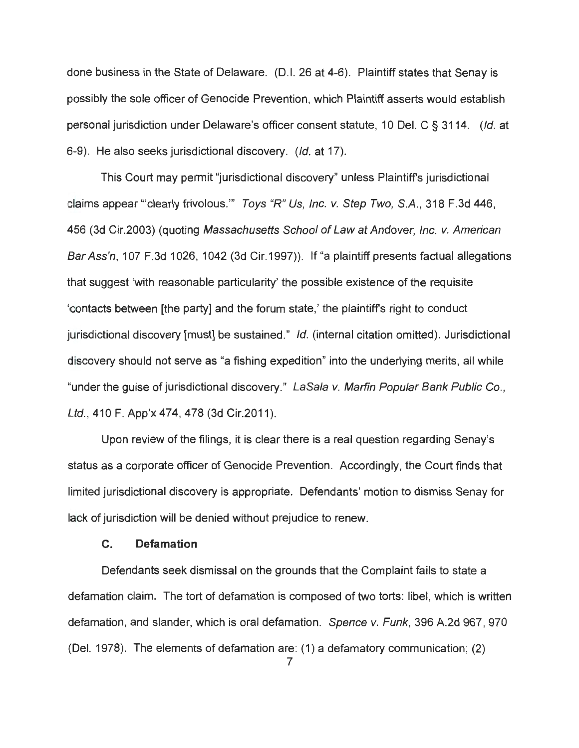done business in the State of Delaware. (0.1. 26 at 4-6). Plaintiff states that Senay is possibly the sole officer of Genocide Prevention, which Plaintiff asserts would establish personal jurisdiction under Delaware's officer consent statute, 10 Del. C § 3114. (Id. at 6-9). He also seeks jurisdictional discovery. (Id. at 17).

This Court may permit "jurisdictional discovery" unless Plaintiffs jurisdictional claims appear "'clearly frivolous."' Toys "R" Us, Inc. v. Step Two, S.A. , 318 F.3d 446, 456 (3d Cir.2003) (quoting Massachusetts School of Law at Andover, Inc. v. American Bar Ass'n, 107 F.3d 1026, 1042 (3d Cir.1997)). If "a plaintiff presents factual allegations that suggest 'with reasonable particularity' the possible existence of the requisite 'contacts between [the party] and the forum state,' the plaintiffs right to conduct jurisdictional discovery [must] be sustained." Id. (internal citation omitted). Jurisdictional discovery should not serve as "a fishing expedition" into the underlying merits, all while "under the guise of jurisdictional discovery." LaSala v. Marfin Popular Bank Public Co., Ltd. , 410 F. App'x 474, 478 (3d Cir.2011).

Upon review of the filings, it is clear there is a real question regarding Senay's status as a corporate officer of Genocide Prevention. Accordingly, the Court finds that limited jurisdictional discovery is appropriate. Defendants' motion to dismiss Senay for lack of jurisdiction will be denied without prejudice to renew.

### **C. Defamation**

Defendants seek dismissal on the grounds that the Complaint fails to state a defamation claim. The tort of defamation is composed of two torts: libel, which is written defamation, and slander, which is oral defamation. Spence v. Funk, 396 A.2d 967, 970 (Del. 1978). The elements of defamation are: (1) a defamatory communication; (2)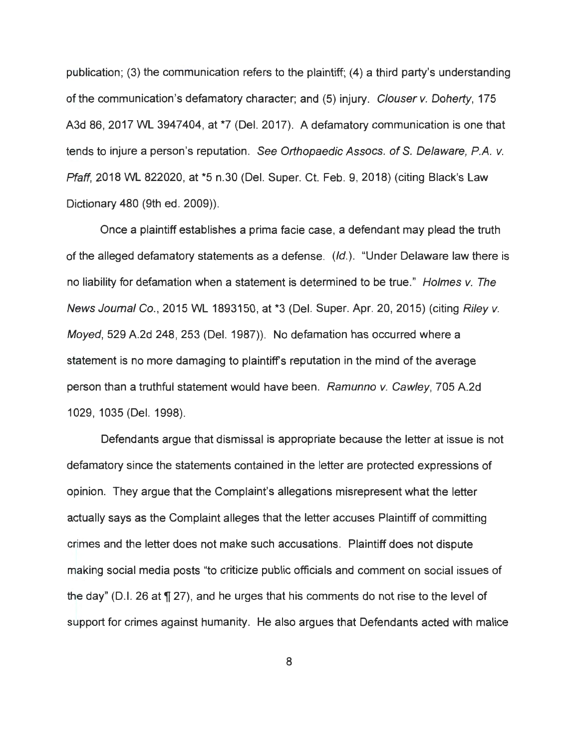publication; (3) the communication refers to the plaintiff; (4) a third party's understanding of the communication's defamatory character; and (5) injury. Clouser v. Doherty, 175 A3d 86, 2017 WL 3947404, at \*7 (Del. 2017). A defamatory communication is one that tends to injure a person's reputation. See Orthopaedic Assocs. of S. Delaware, P.A. v. Pfaff, 2018 WL 822020, at \*5 n.30 (Del. Super. Ct. Feb. 9, 2018) (citing Black's Law Dictionary 480 (9th ed. 2009)).

Once a plaintiff establishes a prima facie case, a defendant may plead the truth of the alleged defamatory statements as a defense. (Id.). "Under Delaware law there is no liability for defamation when a statement is determined to be true." Holmes v. The News Journal Co., 2015 WL 1893150, at \*3 (Del. Super. Apr. 20, 2015) (citing Riley v. Moyed, 529 A.2d 248, 253 (Del. 1987)). No defamation has occurred where a statement is no more damaging to plaintiffs reputation in the mind of the average person than a truthful statement would have been. Ramunno v. Cawley, 705 A.2d 1029, 1035 (Del. 1998).

Defendants argue that dismissal is appropriate because the letter at issue is not defamatory since the statements contained in the letter are protected expressions of opinion. They argue that the Complaint's allegations misrepresent what the letter actually says as the Complaint alleges that the letter accuses Plaintiff of committing crimes and the letter does not make such accusations. Plaintiff does not dispute making social media posts "to criticize public officials and comment on social issues of the day" (D.I. 26 at  $\P$  27), and he urges that his comments do not rise to the level of support for crimes against humanity. He also argues that Defendants acted with malice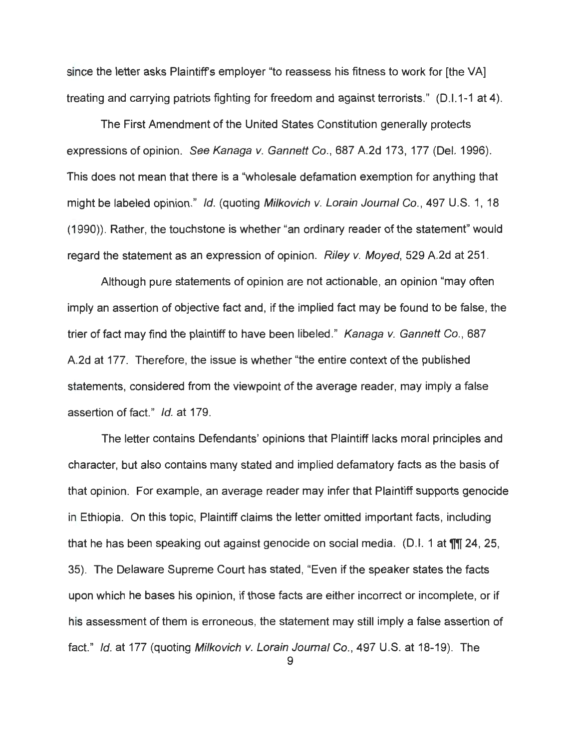since the letter asks Plaintiff's employer "to reassess his fitness to work for [the VA] treating and carrying patriots fighting for freedom and against terrorists." (D.1.1-1 at 4).

The First Amendment of the United States Constitution generally protects expressions of opinion. See Kanaga v. Gannett Co., 687 A.2d 173, 177 (Del. 1996). This does not mean that there is a "wholesale defamation exemption for anything that might be labeled opinion." Id. (quoting Milkovich v. Lorain Journal Co., 497 U.S. 1, 18 (1990)). Rather, the touchstone is whether "an ordinary reader of the statement" would regard the statement as an expression of opinion. Riley v. Moyed, 529 A.2d at 251.

Although pure statements of opinion are not actionable, an opinion "may often imply an assertion of objective fact and, if the implied fact may be found to be false, the trier of fact may find the plaintiff to have been libeled." Kanaga v. Gannett Co., 687 A.2d at 177. Therefore, the issue is whether "the entire context of the published statements, considered from the viewpoint of the average reader, may imply a false assertion of fact." Id. at 179.

The letter contains Defendants' opinions that Plaintiff lacks moral principles and character, but also contains many stated and implied defamatory facts as the basis of that opinion. For example, an average reader may infer that Plaintiff supports genocide in Ethiopia. On this topic, Plaintiff claims the letter omitted important facts , including that he has been speaking out against genocide on social media. (D.I. 1 at  $\mathbb{II}$  24, 25, 35). The Delaware Supreme Court has stated , "Even if the speaker states the facts upon which he bases his opinion, if those facts are either incorrect or incomplete, or if his assessment of them is erroneous, the statement may still imply a false assertion of fact." Id. at 177 (quoting Milkovich v. Lorain Journal Co., 497 U.S. at 18-19). The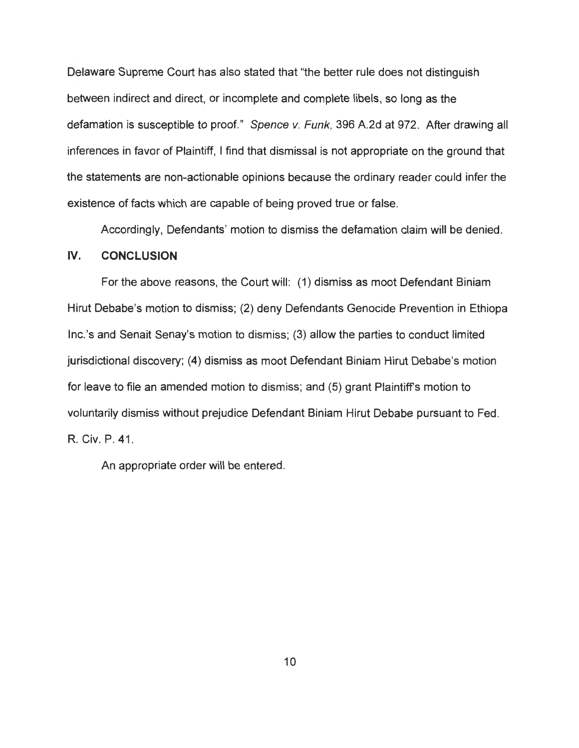Delaware Supreme Court has also stated that "the better rule does not distinguish between indirect and direct, or incomplete and complete libels, so long as the defamation is susceptible to proof." Spence v. Funk, 396 A.2d at 972. After drawing all inferences in favor of Plaintiff, I find that dismissal is not appropriate on the ground that the statements are non-actionable opinions because the ordinary reader could infer the existence of facts which are capable of being proved true or false.

Accordingly, Defendants' motion to dismiss the defamation claim will be denied.

## **IV. CONCLUSION**

For the above reasons, the Court will: (1) dismiss as moot Defendant Biniam Hirut Debabe's motion to dismiss; (2) deny Defendants Genocide Prevention in Ethiopa lnc.'s and Senait Senay's motion to dismiss; (3) allow the parties to conduct limited jurisdictional discovery; (4) dismiss as moot Defendant Biniam Hirut Debabe's motion for leave to file an amended motion to dismiss; and (5) grant Plaintiffs motion to voluntarily dismiss without prejudice Defendant Biniam Hirut Debabe pursuant to Fed. **R. Civ.** P. 41 .

An appropriate order will be entered.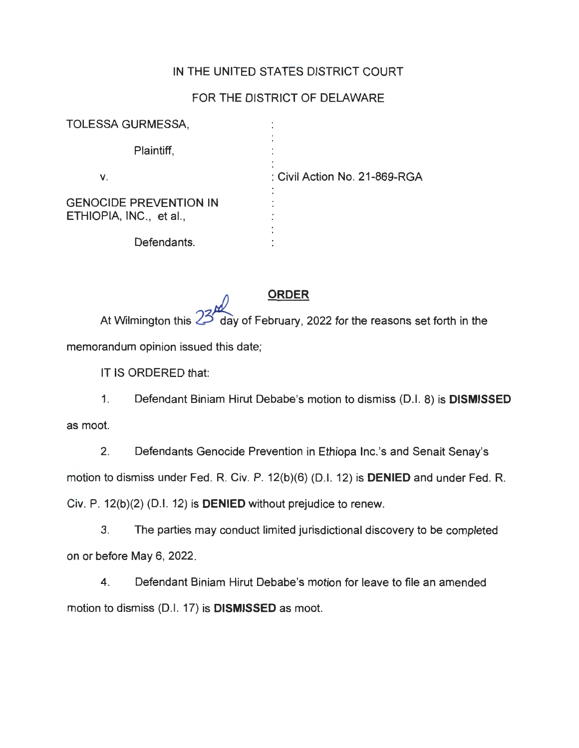## IN THE UNITED STATES DISTRICT COURT

## FOR THE DISTRICT OF DELAWARE

| <b>TOLESSA GURMESSA,</b>                                 |                               |
|----------------------------------------------------------|-------------------------------|
| Plaintiff,                                               |                               |
| V.                                                       | : Civil Action No. 21-869-RGA |
| <b>GENOCIDE PREVENTION IN</b><br>ETHIOPIA, INC., et al., |                               |
| Defendants.                                              |                               |

~ **ORDER** 

At Wilmington this 23 day of February, 2022 for the reasons set forth in the memorandum opinion issued this date;

IT IS ORDERED that:

1. Defendant Biniam Hirut Debabe's motion to dismiss (0.1. 8) is **DISMISSED**  as moot.

2. Defendants Genocide Prevention in Ethiopa lnc.'s and Senait Senay's motion to dismiss under Fed. R. Civ. P. 12(b)(6) (0.1. 12) is **DENIED** and under Fed. R. Civ. P. 12(b)(2) (0.1. 12) is **DENIED** without prejudice to renew.

3. The parties may conduct limited jurisdictional discovery to be completed on or before May 6, 2022.

4. Defendant Biniam Hirut Debabe's motion for leave to file an amended motion to dismiss (D.I. 17) is **DISMISSED** as moot.